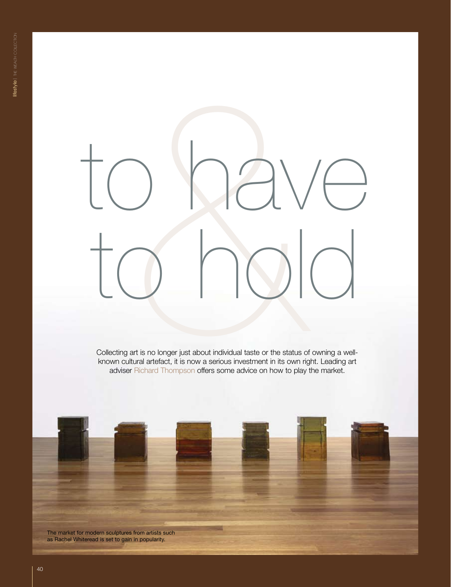# Collecting at is no longer just about individual taste or the status of owning a well-<br>thrown cultural attefact, it is now a serious investment in its own right. Leading at<br>adviser Richard Thompson offers some advice on ho to have

Collecting art is no longer just about individual taste or the status of owning a wellknown cultural artefact, it is now a serious investment in its own right. Leading art adviser Richard Thompson offers some advice on how to play the market.

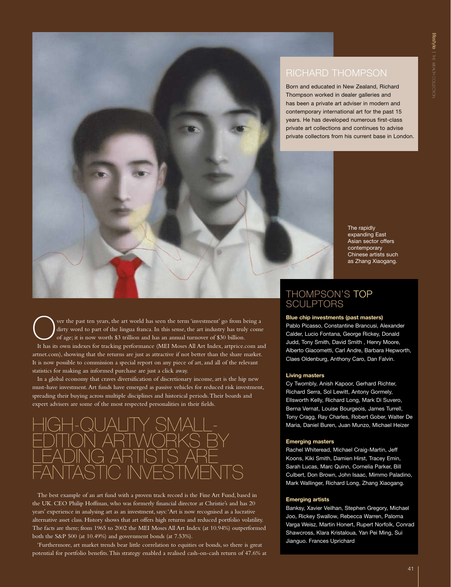# Richard Thompson

Born and educated in New Zealand, Richard Thompson worked in dealer galleries and has been a private art adviser in modern and contemporary international art for the past 15 years. He has developed numerous first-class private art collections and continues to advise private collectors from his current base in London.

> The rapidly expanding East Asian sector offers contemporary Chinese artists such as Zhang Xiaogang.

Over the past ten years, the art world has seen the term 'investment' go from being a dirty word to part of the lingua franca. In this sense, the art industry has truly come of age; it is now worth \$3 trillion and has an a dirty word to part of the lingua franca. In this sense, the art industry has truly come of age; it is now worth \$3 trillion and has an annual turnover of \$30 billion. It has its own indexes for tracking performance (MEI Moses All Art Index, artprice.com and artnet.com), showing that the returns are just as attractive if not better than the share market. It is now possible to commission a special report on any piece of art, and all of the relevant statistics for making an informed purchase are just a click away.

In a global economy that craves diversification of discretionary income, art is the hip new must-have investment. Art funds have emerged as passive vehicles for reduced risk investment, spreading their buying across multiple disciplines and historical periods. Their boards and expert advisers are some of the most respected personalities in their fields.



The best example of an art fund with a proven track record is the Fine Art Fund, based in the UK. CEO Philip Hoffman, who was formerly financial director at Christie's and has 20 years' experience in analysing art as an investment, says: 'Art is now recognised as a lucrative alternative asset class. History shows that art offers high returns and reduced portfolio volatility. The facts are there; from 1965 to 2002 the MEI Moses All Art Index (at 10.94%) outperformed both the S&P 500 (at 10.49%) and government bonds (at 7.53%).

'Furthermore, art market trends bear little correlation to equities or bonds, so there is great potential for portfolio benefits. This strategy enabled a realised cash-on-cash return of 47.6% at

## Thompson's top **SCULPTORS**

### **Blue chip investments (past masters)**

Pablo Picasso, Constantine Brancusi, Alexander Calder, Lucio Fontana, George Rickey, Donald Judd, Tony Smith, David Smith , Henry Moore, Alberto Giacometti, Carl Andre, Barbara Hepworth, Claes Oldenburg, Anthony Caro, Dan Falvin.

### **Living masters**

Cy Twombly, Anish Kapoor, Gerhard Richter, Richard Serra, Sol Lewitt, Antony Gormely, Ellsworth Kelly, Richard Long, Mark Di Suvero, Berna Vernat, Louise Bourgeois, James Turrell, Tony Cragg, Ray Charles, Robert Gober, Walter De Maria, Daniel Buren, Juan Munzo, Michael Heizer

### **Emerging masters**

Rachel Whiteread, Michael Craig-Martin, Jeff Koons, Kiki Smith, Damien Hirst, Tracey Emin, Sarah Lucas, Marc Quinn, Cornelia Parker, Bill Culbert, Don Brown, John Isaac, Mimmo Paladino, Mark Wallinger, Richard Long, Zhang Xiaogang.

### **Emerging artists**

Banksy, Xavier Veilhan, Stephen Gregory, Michael Joo, Rickey Swallow, Rebecca Warren, Paloma Varga Weisz, Martin Honert, Rupert Norfolk, Conrad Shawcross, Klara Kristaloua, Yan Pei Ming, Sui Jianguo. Frances Uprichard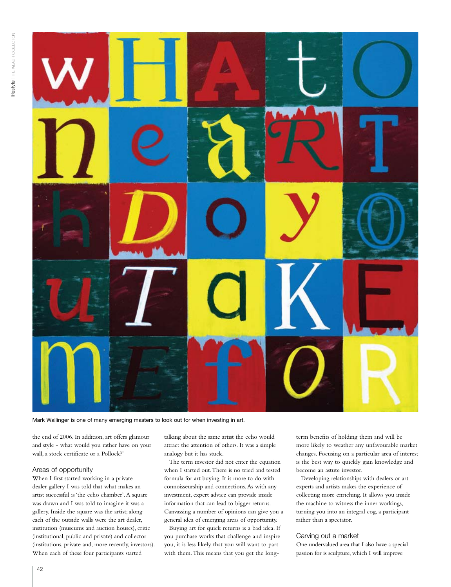

Mark Wallinger is one of many emerging masters to look out for when investing in art.

the end of 2006. In addition, art offers glamour and style - what would you rather have on your wall, a stock certificate or a Pollock?'

### Areas of opportunity

When I first started working in a private dealer gallery I was told that what makes an artist successful is 'the echo chamber'. A square was drawn and I was told to imagine it was a gallery. Inside the square was the artist; along each of the outside walls were the art dealer, institution (museums and auction houses), critic (institutional, public and private) and collector (institutions, private and, more recently, investors). When each of these four participants started

talking about the same artist the echo would attract the attention of others. It was a simple analogy but it has stuck.

The term investor did not enter the equation when I started out. There is no tried and tested formula for art buying. It is more to do with connoisseurship and connections. As with any investment, expert advice can provide inside information that can lead to bigger returns. Canvassing a number of opinions can give you a general idea of emerging areas of opportunity.

Buying art for quick returns is a bad idea. If you purchase works that challenge and inspire you, it is less likely that you will want to part with them. This means that you get the long-

term benefits of holding them and will be more likely to weather any unfavourable market changes. Focusing on a particular area of interest is the best way to quickly gain knowledge and become an astute investor.

Developing relationships with dealers or art experts and artists makes the experience of collecting more enriching. It allows you inside the machine to witness the inner workings, turning you into an integral cog, a participant rather than a spectator.

### Carving out a market

One undervalued area that I also have a special passion for is sculpture, which I will improve